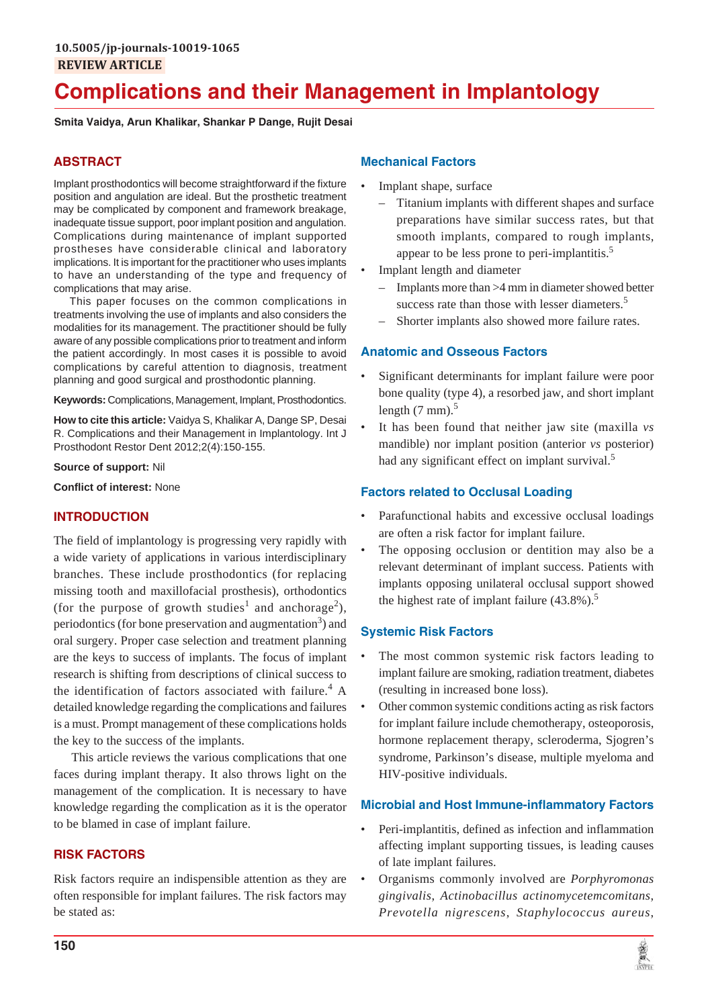# **Complications and their Management in Implantology**

**Smita Vaidya, Arun Khalikar, Shankar P Dange, Rujit Desai**

# **ABSTRACT**

Implant prosthodontics will become straightforward if the fixture position and angulation are ideal. But the prosthetic treatment may be complicated by component and framework breakage, inadequate tissue support, poor implant position and angulation. Complications during maintenance of implant supported prostheses have considerable clinical and laboratory implications. It is important for the practitioner who uses implants to have an understanding of the type and frequency of complications that may arise.

This paper focuses on the common complications in treatments involving the use of implants and also considers the modalities for its management. The practitioner should be fully aware of any possible complications prior to treatment and inform the patient accordingly. In most cases it is possible to avoid complications by careful attention to diagnosis, treatment planning and good surgical and prosthodontic planning.

**Keywords:** Complications, Management, Implant, Prosthodontics.

**How to cite this article:** Vaidya S, Khalikar A, Dange SP, Desai R. Complications and their Management in Implantology. Int J Prosthodont Restor Dent 2012;2(4):150-155.

**Source of support:** Nil

**Conflict of interest:** None

### **INTRODUCTION**

The field of implantology is progressing very rapidly with a wide variety of applications in various interdisciplinary branches. These include prosthodontics (for replacing missing tooth and maxillofacial prosthesis), orthodontics (for the purpose of growth studies<sup>1</sup> and anchorage<sup>2</sup>), periodontics (for bone preservation and augmentation<sup>3</sup>) and oral surgery. Proper case selection and treatment planning are the keys to success of implants. The focus of implant research is shifting from descriptions of clinical success to the identification of factors associated with failure.<sup>4</sup> A detailed knowledge regarding the complications and failures is a must. Prompt management of these complications holds the key to the success of the implants.

This article reviews the various complications that one faces during implant therapy. It also throws light on the management of the complication. It is necessary to have knowledge regarding the complication as it is the operator to be blamed in case of implant failure.

### **RISK FACTORS**

Risk factors require an indispensible attention as they are often responsible for implant failures. The risk factors may be stated as:

### **Mechanical Factors**

- Implant shape, surface
	- Titanium implants with different shapes and surface preparations have similar success rates, but that smooth implants, compared to rough implants, appear to be less prone to peri-implantitis.<sup>5</sup>
- Implant length and diameter
	- Implants more than >4 mm in diameter showed better success rate than those with lesser diameters.<sup>5</sup>
	- Shorter implants also showed more failure rates.

### **Anatomic and Osseous Factors**

- Significant determinants for implant failure were poor bone quality (type 4), a resorbed jaw, and short implant length  $(7 \text{ mm})$ .<sup>5</sup>
- It has been found that neither jaw site (maxilla *vs* mandible) nor implant position (anterior *vs* posterior) had any significant effect on implant survival.<sup>5</sup>

### **Factors related to Occlusal Loading**

- Parafunctional habits and excessive occlusal loadings are often a risk factor for implant failure.
- The opposing occlusion or dentition may also be a relevant determinant of implant success. Patients with implants opposing unilateral occlusal support showed the highest rate of implant failure  $(43.8\%)$ .<sup>5</sup>

### **Systemic Risk Factors**

- The most common systemic risk factors leading to implant failure are smoking, radiation treatment, diabetes (resulting in increased bone loss).
- Other common systemic conditions acting as risk factors for implant failure include chemotherapy, osteoporosis, hormone replacement therapy, scleroderma, Sjogren's syndrome, Parkinson's disease, multiple myeloma and HIV-positive individuals.

### **Microbial and Host Immune-inflammatory Factors**

- Peri-implantitis, defined as infection and inflammation affecting implant supporting tissues, is leading causes of late implant failures.
- Organisms commonly involved are *Porphyromonas gingivalis*, *Actinobacillus actinomycetemcomitans*, *Prevotella nigrescens*, *Staphylococcus aureus*,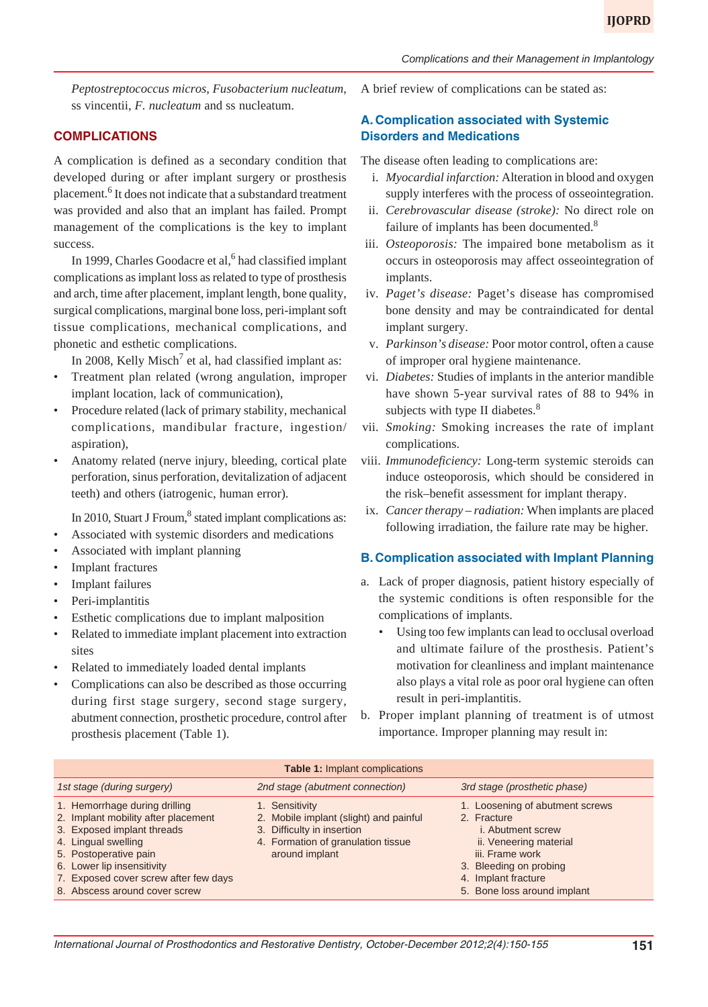*Peptostreptococcus micros*, *Fusobacterium nucleatum*, ss vincentii, *F. nucleatum* and ss nucleatum.

### **COMPLICATIONS**

A complication is defined as a secondary condition that developed during or after implant surgery or prosthesis placement.<sup>6</sup> It does not indicate that a substandard treatment was provided and also that an implant has failed. Prompt management of the complications is the key to implant success.

In 1999, Charles Goodacre et al,<sup>6</sup> had classified implant complications as implant loss as related to type of prosthesis and arch, time after placement, implant length, bone quality, surgical complications, marginal bone loss, peri-implant soft tissue complications, mechanical complications, and phonetic and esthetic complications.

In 2008, Kelly Misch<sup>7</sup> et al, had classified implant as:

- Treatment plan related (wrong angulation, improper implant location, lack of communication),
- Procedure related (lack of primary stability, mechanical complications, mandibular fracture, ingestion/ aspiration),
- Anatomy related (nerve injury, bleeding, cortical plate perforation, sinus perforation, devitalization of adjacent teeth) and others (iatrogenic, human error).

In 2010, Stuart J Froum, $8$  stated implant complications as:

- Associated with systemic disorders and medications
- Associated with implant planning
- **Implant fractures**
- **Implant failures**
- Peri-implantitis
- Esthetic complications due to implant malposition
- Related to immediate implant placement into extraction sites
- Related to immediately loaded dental implants
- Complications can also be described as those occurring during first stage surgery, second stage surgery, abutment connection, prosthetic procedure, control after prosthesis placement (Table 1).

A brief review of complications can be stated as:

# **A. Complication associated with Systemic Disorders and Medications**

The disease often leading to complications are:

- i. *Myocardial infarction:* Alteration in blood and oxygen supply interferes with the process of osseointegration.
- ii. *Cerebrovascular disease (stroke):* No direct role on failure of implants has been documented.<sup>8</sup>
- iii. *Osteoporosis:* The impaired bone metabolism as it occurs in osteoporosis may affect osseointegration of implants.
- iv. *Paget's disease:* Paget's disease has compromised bone density and may be contraindicated for dental implant surgery.
- v. *Parkinson's disease:* Poor motor control, often a cause of improper oral hygiene maintenance.
- vi. *Diabetes:* Studies of implants in the anterior mandible have shown 5-year survival rates of 88 to 94% in subjects with type II diabetes. $8^8$
- vii. *Smoking:* Smoking increases the rate of implant complications.
- viii. *Immunodeficiency:* Long-term systemic steroids can induce osteoporosis, which should be considered in the risk–benefit assessment for implant therapy.
- ix. *Cancer therapy radiation:* When implants are placed following irradiation, the failure rate may be higher.

### **B. Complication associated with Implant Planning**

- a. Lack of proper diagnosis, patient history especially of the systemic conditions is often responsible for the complications of implants.
	- Using too few implants can lead to occlusal overload and ultimate failure of the prosthesis. Patient's motivation for cleanliness and implant maintenance also plays a vital role as poor oral hygiene can often result in peri-implantitis.
- b. Proper implant planning of treatment is of utmost importance. Improper planning may result in:

| <b>Table 1: Implant complications</b>                                                                                                                                                                                     |                                                                                                                                                |                                                                                                                                                                          |
|---------------------------------------------------------------------------------------------------------------------------------------------------------------------------------------------------------------------------|------------------------------------------------------------------------------------------------------------------------------------------------|--------------------------------------------------------------------------------------------------------------------------------------------------------------------------|
| 1st stage (during surgery)                                                                                                                                                                                                | 2nd stage (abutment connection)                                                                                                                | 3rd stage (prosthetic phase)                                                                                                                                             |
| 1. Hemorrhage during drilling<br>2. Implant mobility after placement<br>3. Exposed implant threads<br>4. Lingual swelling<br>5. Postoperative pain<br>6. Lower lip insensitivity<br>7. Exposed cover screw after few days | 1. Sensitivity<br>2. Mobile implant (slight) and painful<br>3. Difficulty in insertion<br>4. Formation of granulation tissue<br>around implant | 1. Loosening of abutment screws<br>2. Fracture<br><i>i.</i> Abutment screw<br>ii. Veneering material<br>iii. Frame work<br>3. Bleeding on probing<br>4. Implant fracture |
| 8. Abscess around cover screw                                                                                                                                                                                             |                                                                                                                                                | 5. Bone loss around implant                                                                                                                                              |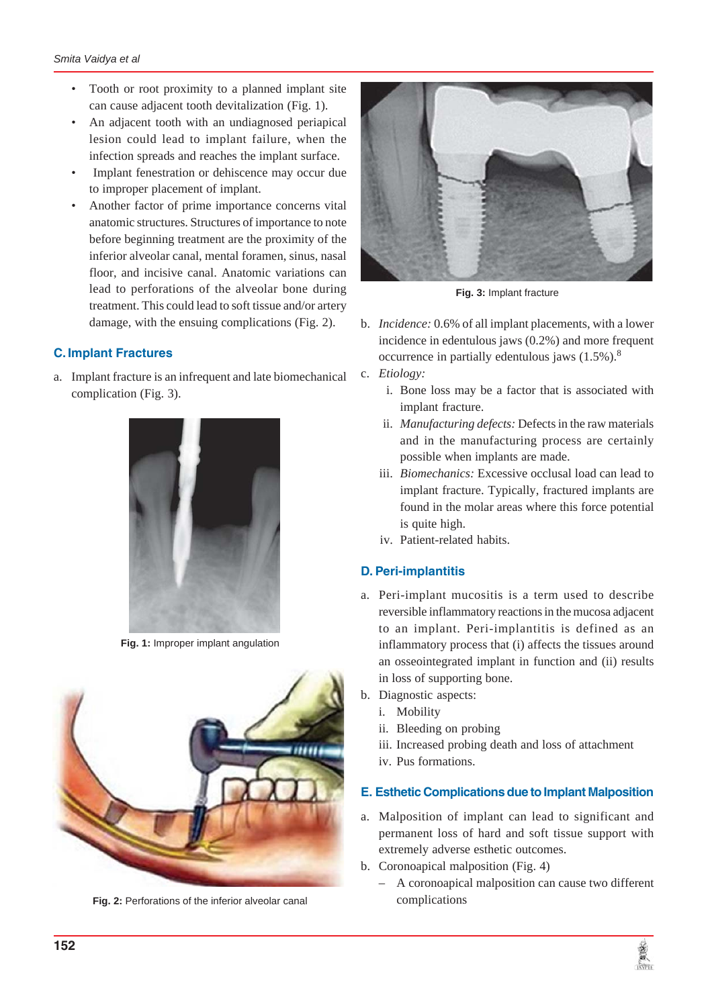- Tooth or root proximity to a planned implant site can cause adjacent tooth devitalization (Fig. 1).
- An adjacent tooth with an undiagnosed periapical lesion could lead to implant failure, when the infection spreads and reaches the implant surface.
- Implant fenestration or dehiscence may occur due to improper placement of implant.
- Another factor of prime importance concerns vital anatomic structures. Structures of importance to note before beginning treatment are the proximity of the inferior alveolar canal, mental foramen, sinus, nasal floor, and incisive canal. Anatomic variations can lead to perforations of the alveolar bone during treatment. This could lead to soft tissue and/or artery damage, with the ensuing complications (Fig. 2).

## **C. Implant Fractures**

a. Implant fracture is an infrequent and late biomechanical complication (Fig. 3).



**Fig. 1:** Improper implant angulation



**Fig. 2:** Perforations of the inferior alveolar canal



**Fig. 3:** Implant fracture

- b. *Incidence:* 0.6% of all implant placements, with a lower incidence in edentulous jaws (0.2%) and more frequent occurrence in partially edentulous jaws  $(1.5\%)$ .<sup>8</sup>
- c. *Etiology:*
	- i. Bone loss may be a factor that is associated with implant fracture.
	- ii. *Manufacturing defects:* Defects in the raw materials and in the manufacturing process are certainly possible when implants are made.
	- iii. *Biomechanics:* Excessive occlusal load can lead to implant fracture. Typically, fractured implants are found in the molar areas where this force potential is quite high.
	- iv. Patient-related habits.

### **D. Peri-implantitis**

- a. Peri-implant mucositis is a term used to describe reversible inflammatory reactions in the mucosa adjacent to an implant. Peri-implantitis is defined as an inflammatory process that (i) affects the tissues around an osseointegrated implant in function and (ii) results in loss of supporting bone.
- b. Diagnostic aspects:
	- i. Mobility
	- ii. Bleeding on probing
	- iii. Increased probing death and loss of attachment
	- iv. Pus formations.

### **E. Esthetic Complications due to Implant Malposition**

- a. Malposition of implant can lead to significant and permanent loss of hard and soft tissue support with extremely adverse esthetic outcomes.
- b. Coronoapical malposition (Fig. 4)
	- A coronoapical malposition can cause two different complications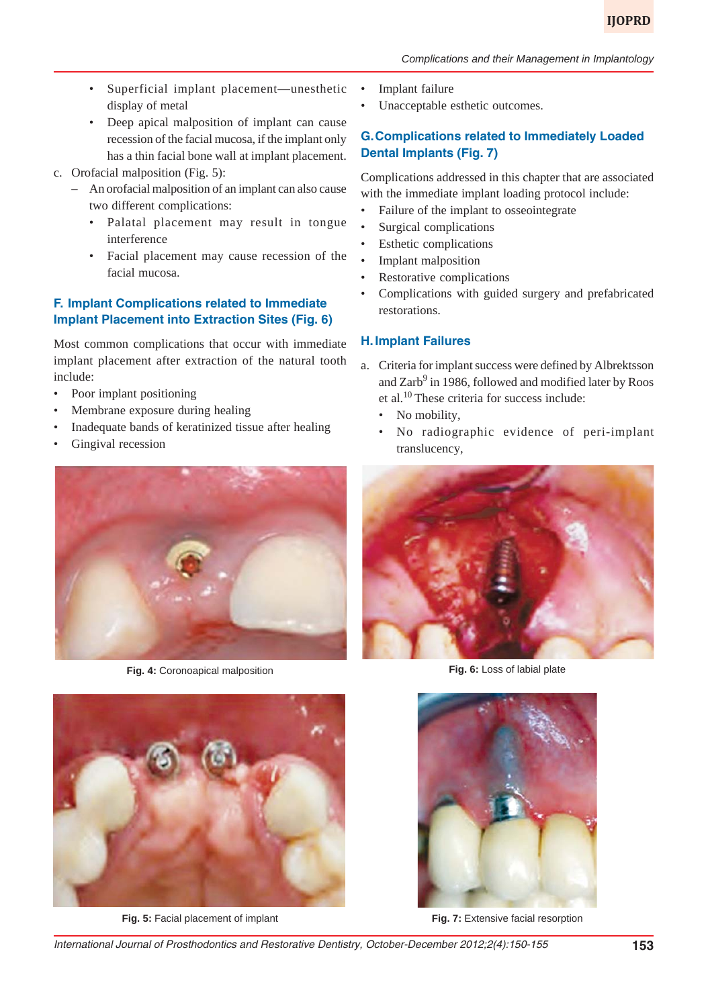- Superficial implant placement—unesthetic display of metal
- Deep apical malposition of implant can cause recession of the facial mucosa, if the implant only has a thin facial bone wall at implant placement.
- c. Orofacial malposition (Fig. 5):
	- An orofacial malposition of an implant can also cause two different complications:
		- Palatal placement may result in tongue interference
		- Facial placement may cause recession of the facial mucosa.

## **F. Implant Complications related to Immediate Implant Placement into Extraction Sites (Fig. 6)**

Most common complications that occur with immediate implant placement after extraction of the natural tooth include:

- Poor implant positioning
- Membrane exposure during healing
- Inadequate bands of keratinized tissue after healing
- Gingival recession



**Fig. 4:** Coronoapical malposition



**Fig. 5:** Facial placement of implant

- Implant failure
- Unacceptable esthetic outcomes.

## **G.Complications related to Immediately Loaded Dental Implants (Fig. 7)**

Complications addressed in this chapter that are associated with the immediate implant loading protocol include:

- Failure of the implant to osseointegrate
- Surgical complications
- Esthetic complications
- Implant malposition
- Restorative complications
- Complications with guided surgery and prefabricated restorations.

### **H. Implant Failures**

- a. Criteria for implant success were defined by Albrektsson and  $\rm{Zarb}^9$  in 1986, followed and modified later by Roos et al.10 These criteria for success include:
	- No mobility,
	- No radiographic evidence of peri-implant translucency,



**Fig. 6:** Loss of labial plate



**Fig. 7: Extensive facial resorption**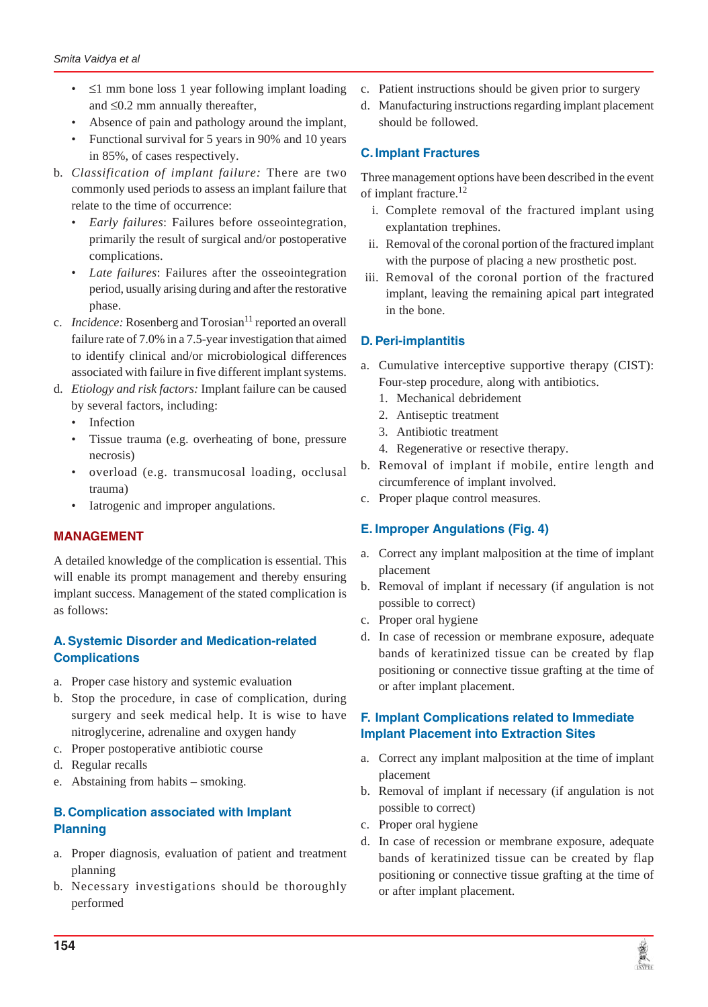- $\bullet$   $\leq$ 1 mm bone loss 1 year following implant loading and  $\leq 0.2$  mm annually thereafter,
- Absence of pain and pathology around the implant,
- Functional survival for 5 years in 90% and 10 years in 85%, of cases respectively.
- b. *Classification of implant failure:* There are two commonly used periods to assess an implant failure that relate to the time of occurrence:
	- *Early failures*: Failures before osseointegration, primarily the result of surgical and/or postoperative complications.
	- *Late failures*: Failures after the osseointegration period, usually arising during and after the restorative phase.
- c. *Incidence:* Rosenberg and Torosian<sup>11</sup> reported an overall failure rate of 7.0% in a 7.5-year investigation that aimed to identify clinical and/or microbiological differences associated with failure in five different implant systems.
- d. *Etiology and risk factors:* Implant failure can be caused by several factors, including:
	- Infection
	- Tissue trauma (e.g. overheating of bone, pressure necrosis)
	- overload (e.g. transmucosal loading, occlusal trauma)
	- Iatrogenic and improper angulations.

## **MANAGEMENT**

A detailed knowledge of the complication is essential. This will enable its prompt management and thereby ensuring implant success. Management of the stated complication is as follows:

# **A. Systemic Disorder and Medication-related Complications**

- a. Proper case history and systemic evaluation
- b. Stop the procedure, in case of complication, during surgery and seek medical help. It is wise to have nitroglycerine, adrenaline and oxygen handy
- c. Proper postoperative antibiotic course
- d. Regular recalls
- e. Abstaining from habits smoking.

# **B. Complication associated with Implant Planning**

- a. Proper diagnosis, evaluation of patient and treatment planning
- b. Necessary investigations should be thoroughly performed
- c. Patient instructions should be given prior to surgery
- d. Manufacturing instructions regarding implant placement should be followed.

# **C. Implant Fractures**

Three management options have been described in the event of implant fracture.<sup>12</sup>

- i. Complete removal of the fractured implant using explantation trephines.
- ii. Removal of the coronal portion of the fractured implant with the purpose of placing a new prosthetic post.
- iii. Removal of the coronal portion of the fractured implant, leaving the remaining apical part integrated in the bone.

# **D. Peri-implantitis**

- a. Cumulative interceptive supportive therapy (CIST): Four-step procedure, along with antibiotics.
	- 1. Mechanical debridement
	- 2. Antiseptic treatment
	- 3. Antibiotic treatment
	- 4. Regenerative or resective therapy.
- b. Removal of implant if mobile, entire length and circumference of implant involved.
- c. Proper plaque control measures.

## **E. Improper Angulations (Fig. 4)**

- a. Correct any implant malposition at the time of implant placement
- b. Removal of implant if necessary (if angulation is not possible to correct)
- c. Proper oral hygiene
- d. In case of recession or membrane exposure, adequate bands of keratinized tissue can be created by flap positioning or connective tissue grafting at the time of or after implant placement.

# **F. Implant Complications related to Immediate Implant Placement into Extraction Sites**

- a. Correct any implant malposition at the time of implant placement
- b. Removal of implant if necessary (if angulation is not possible to correct)
- c. Proper oral hygiene
- d. In case of recession or membrane exposure, adequate bands of keratinized tissue can be created by flap positioning or connective tissue grafting at the time of or after implant placement.